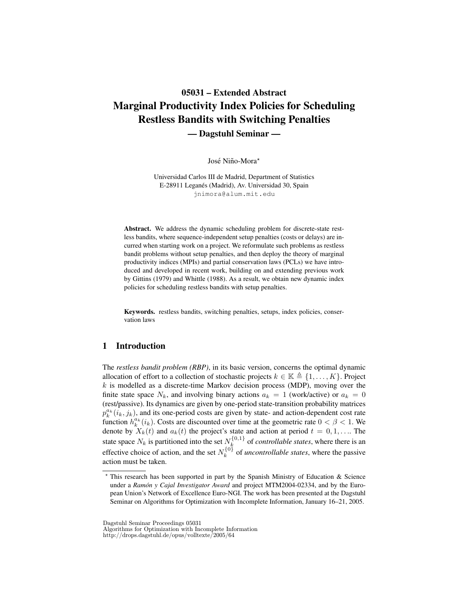# 05031 – Extended Abstract Marginal Productivity Index Policies for Scheduling Restless Bandits with Switching Penalties — Dagstuhl Seminar —

José Niño-Mora<sup>\*</sup>

Universidad Carlos III de Madrid, Department of Statistics E-28911 Leganés (Madrid), Av. Universidad 30, Spain jnimora@alum.mit.edu

Abstract. We address the dynamic scheduling problem for discrete-state restless bandits, where sequence-independent setup penalties (costs or delays) are incurred when starting work on a project. We reformulate such problems as restless bandit problems without setup penalties, and then deploy the theory of marginal productivity indices (MPIs) and partial conservation laws (PCLs) we have introduced and developed in recent work, building on and extending previous work by Gittins (1979) and Whittle (1988). As a result, we obtain new dynamic index policies for scheduling restless bandits with setup penalties.

Keywords. restless bandits, switching penalties, setups, index policies, conservation laws

## 1 Introduction

The *restless bandit problem (RBP)*, in its basic version, concerns the optimal dynamic allocation of effort to a collection of stochastic projects  $k \in \mathbb{K} \triangleq \{1, \ldots, K\}$ . Project  $k$  is modelled as a discrete-time Markov decision process (MDP), moving over the finite state space  $N_k$ , and involving binary actions  $a_k = 1$  (work/active) or  $a_k = 0$ (rest/passive). Its dynamics are given by one-period state-transition probability matrices  $p_k^{a_k}(i_k, j_k)$ , and its one-period costs are given by state- and action-dependent cost rate function  $h_k^{a_k}(i_k)$ . Costs are discounted over time at the geometric rate  $0 < \beta < 1$ . We denote by  $X_k(t)$  and  $a_k(t)$  the project's state and action at period  $t = 0, 1, \ldots$ . The state space  $N_k$  is partitioned into the set  $N_k^{\{0,1\}}$  $k<sup>{(0,1)}</sup>$  of *controllable states*, where there is an effective choice of action, and the set  $N_k^{\{0\}}$  $k<sup>{U_f}</sup>$  of *uncontrollable states*, where the passive action must be taken.

Dagstuhl Seminar Proceedings 05031

Algorithms for Optimization with Incomplete Information

http://drops.dagstuhl.de/opus/volltexte/2005/64

<sup>?</sup> This research has been supported in part by the Spanish Ministry of Education & Science under a *Ramón y Cajal Investigator Award* and project MTM2004-02334, and by the European Union's Network of Excellence Euro-NGI. The work has been presented at the Dagstuhl Seminar on Algorithms for Optimization with Incomplete Information, January 16–21, 2005.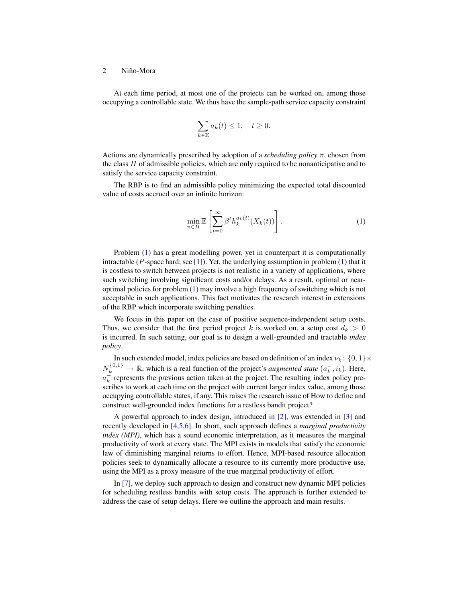#### 2 Niño-Mora

At each time period, at most one of the projects can be worked on, among those occupying a controllable state. We thus have the sample-path service capacity constraint

$$
\sum_{k\in\mathbb{K}} a_k(t) \le 1, \quad t \ge 0.
$$

Actions are dynamically prescribed by adoption of a *scheduling policy* π, chosen from the class  $\Pi$  of admissible policies, which are only required to be nonanticipative and to satisfy the service capacity constraint.

The RBP is to find an admissible policy minimizing the expected total discounted value of costs accrued over an infinite horizon:

<span id="page-1-0"></span>
$$
\min_{\pi \in \Pi} \mathbb{E}\left[\sum_{t=0}^{\infty} \beta^t h_k^{a_k(t)}(X_k(t))\right].
$$
\n(1)

Problem [\(1\)](#page-1-0) has a great modelling power, yet in counterpart it is computationally intractable ( $P$ -space hard; see [\[1\]](#page-5-0)). Yet, the underlying assumption in problem [\(1\)](#page-1-0) that it is costless to switch between projects is not realistic in a variety of applications, where such switching involving significant costs and/or delays. As a result, optimal or nearoptimal policies for problem [\(1\)](#page-1-0) may involve a high frequency of switching which is not acceptable in such applications. This fact motivates the research interest in extensions of the RBP which incorporate switching penalties.

We focus in this paper on the case of positive sequence-independent setup costs. Thus, we consider that the first period project k is worked on, a setup cost  $d_k > 0$ is incurred. In such setting, our goal is to design a well-grounded and tractable *index policy*.

In such extended model, index policies are based on definition of an index  $\nu_k$ :  $\{0,1\} \times$  $N_k^{\{0,1\}} \to \mathbb{R}$ , which is a real function of the project's *augmented state*  $(a_k^-, i_k)$ . Here,  $a_k^{\perp}$  represents the previous action taken at the project. The resulting index policy prescribes to work at each time on the project with current larger index value, among those occupying controllable states, if any. This raises the research issue of How to define and construct well-grounded index functions for a restless bandit project?

A powerful approach to index design, introduced in [\[2\]](#page-5-1), was extended in [\[3\]](#page-5-2) and recently developed in [\[4](#page-5-3)[,5](#page-5-4)[,6\]](#page-5-5). In short, such approach defines a *marginal productivity index (MPI)*, which has a sound economic interpretation, as it measures the marginal productivity of work at every state. The MPI exists in models that satisfy the economic law of diminishing marginal returns to effort. Hence, MPI-based resource allocation policies seek to dynamically allocate a resource to its currently more productive use, using the MPI as a proxy measure of the true marginal productivity of effort.

In [\[7\]](#page-5-6), we deploy such approach to design and construct new dynamic MPI policies for scheduling restless bandits with setup costs. The approach is further extended to address the case of setup delays. Here we outline the approach and main results.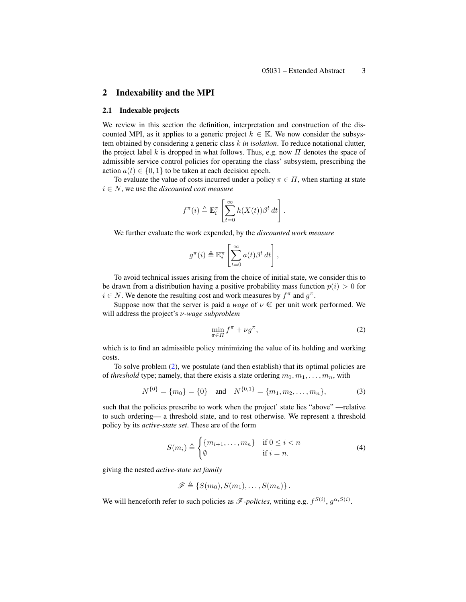### 2 Indexability and the MPI

#### 2.1 Indexable projects

We review in this section the definition, interpretation and construction of the discounted MPI, as it applies to a generic project  $k \in \mathbb{K}$ . We now consider the subsystem obtained by considering a generic class k *in isolation*. To reduce notational clutter, the project label k is dropped in what follows. Thus, e.g. now  $\Pi$  denotes the space of admissible service control policies for operating the class' subsystem, prescribing the action  $a(t) \in \{0, 1\}$  to be taken at each decision epoch.

To evaluate the value of costs incurred under a policy  $\pi \in \Pi$ , when starting at state  $i \in N$ , we use the *discounted cost measure* 

$$
f^{\pi}(i) \triangleq \mathbb{E}_{i}^{\pi} \left[ \sum_{t=0}^{\infty} h(X(t)) \beta^{t} dt \right].
$$

We further evaluate the work expended, by the *discounted work measure*

$$
g^{\pi}(i) \triangleq \mathbb{E}_{i}^{\pi} \left[ \sum_{t=0}^{\infty} a(t) \beta^{t} dt \right],
$$

To avoid technical issues arising from the choice of initial state, we consider this to be drawn from a distribution having a positive probability mass function  $p(i) > 0$  for  $i \in N$ . We denote the resulting cost and work measures by  $f^{\pi}$  and  $g^{\pi}$ .

Suppose now that the server is paid a *wage* of  $\nu \in$  per unit work performed. We will address the project's ν*-wage subproblem*

<span id="page-2-0"></span>
$$
\min_{\pi \in \Pi} f^{\pi} + \nu g^{\pi},\tag{2}
$$

which is to find an admissible policy minimizing the value of its holding and working costs.

To solve problem [\(2\)](#page-2-0), we postulate (and then establish) that its optimal policies are of *threshold* type; namely, that there exists a state ordering  $m_0, m_1, \ldots, m_n$ , with

$$
N^{\{0\}} = \{m_0\} = \{0\} \quad \text{and} \quad N^{\{0,1\}} = \{m_1, m_2, \dots, m_n\},\tag{3}
$$

such that the policies prescribe to work when the project' state lies "above" —relative to such ordering— a threshold state, and to rest otherwise. We represent a threshold policy by its *active-state set*. These are of the form

$$
S(m_i) \triangleq \begin{cases} \{m_{i+1}, \dots, m_n\} & \text{if } 0 \le i < n \\ \emptyset & \text{if } i = n. \end{cases}
$$
 (4)

giving the nested *active-state set family*

$$
\mathscr{F} \triangleq \{S(m_0), S(m_1), \ldots, S(m_n)\}.
$$

We will henceforth refer to such policies as  $\mathscr{F}\text{-}policies$ , writing e.g.  $f^{S(i)}$ ,  $g^{\alpha,S(i)}$ .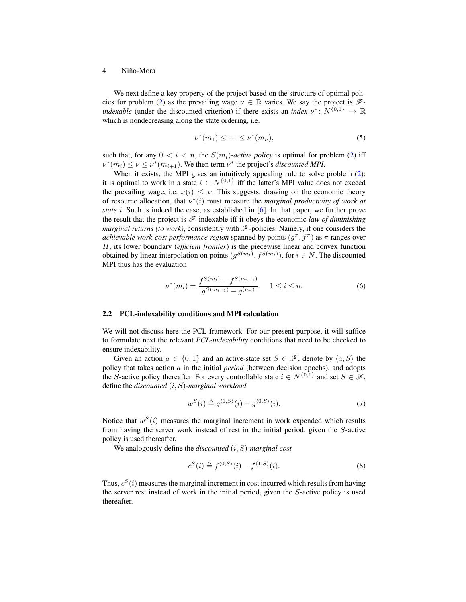#### 4 Niño-Mora

We next define a key property of the project based on the structure of optimal poli-cies for problem [\(2\)](#page-2-0) as the prevailing wage  $\nu \in \mathbb{R}$  varies. We say the project is  $\mathscr{F}$ *indexable* (under the discounted criterion) if there exists an *index*  $\nu^* \colon N^{\{0,1\}} \to \mathbb{R}$ which is nondecreasing along the state ordering, i.e.

<span id="page-3-0"></span>
$$
\nu^*(m_1) \leq \cdots \leq \nu^*(m_n),\tag{5}
$$

such that, for any  $0 < i < n$ , the  $S(m_i)$ -active policy is optimal for problem [\(2\)](#page-2-0) iff  $\nu^*(m_i) \leq \nu \leq \nu^*(m_{i+1})$ . We then term  $\nu^*$  the project's *discounted MPI*.

When it exists, the MPI gives an intuitively appealing rule to solve problem  $(2)$ : it is optimal to work in a state  $i \in N^{\{0,1\}}$  iff the latter's MPI value does not exceed the prevailing wage, i.e.  $\nu(i) \leq \nu$ . This suggests, drawing on the economic theory of resource allocation, that  $v^*(i)$  must measure the *marginal productivity of work at state* i. Such is indeed the case, as established in [\[6\]](#page-5-5). In that paper, we further prove the result that the project is  $\mathcal{F}$ -indexable iff it obeys the economic *law of diminishing marginal returns (to work)*, consistently with  $\mathscr F$ -policies. Namely, if one considers the *achievable work-cost performance region* spanned by points  $(g^{\pi}, f^{\pi})$  as  $\pi$  ranges over Π, its lower boundary (*efficient frontier*) is the piecewise linear and convex function obtained by linear interpolation on points  $(g^{S(m_i)}, f^{S(m_i)})$ , for  $i \in N$ . The discounted MPI thus has the evaluation

$$
\nu^*(m_i) = \frac{f^{S(m_i)} - f^{S(m_{i-1})}}{g^{S(m_{i-1})} - g^{(m_i)}}, \quad 1 \le i \le n.
$$
 (6)

#### 2.2 PCL-indexability conditions and MPI calculation

We will not discuss here the PCL framework. For our present purpose, it will suffice to formulate next the relevant *PCL-indexability* conditions that need to be checked to ensure indexability.

Given an action  $a \in \{0,1\}$  and an active-state set  $S \in \mathscr{F}$ , denote by  $\langle a, S \rangle$  the policy that takes action a in the initial *period* (between decision epochs), and adopts the S-active policy thereafter. For every controllable state  $i \in N^{\{0,1\}}$  and set  $S \in \mathcal{F}$ , define the *discounted* (i, S)*-marginal workload*

$$
w^{S}(i) \triangleq g^{\langle 1, S \rangle}(i) - g^{\langle 0, S \rangle}(i). \tag{7}
$$

Notice that  $w^{S}(i)$  measures the marginal increment in work expended which results from having the server work instead of rest in the initial period, given the S-active policy is used thereafter.

We analogously define the *discounted* (i, S)*-marginal cost*

$$
c^{S}(i) \triangleq f^{\langle 0, S \rangle}(i) - f^{\langle 1, S \rangle}(i). \tag{8}
$$

Thus,  $c^{S}(i)$  measures the marginal increment in cost incurred which results from having the server rest instead of work in the initial period, given the S-active policy is used thereafter.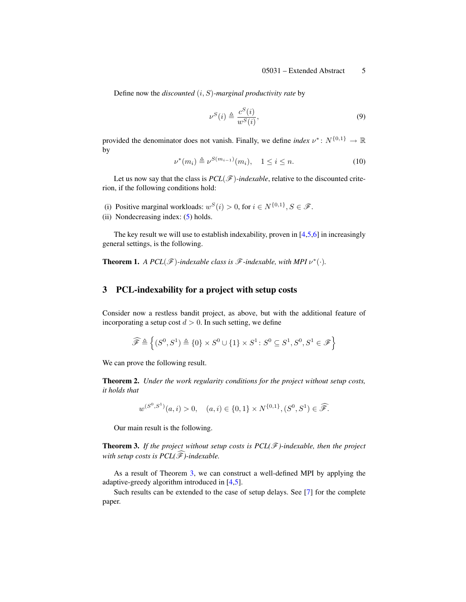Define now the *discounted* (i, S)*-marginal productivity rate* by

$$
\nu^S(i) \triangleq \frac{c^S(i)}{w^S(i)},\tag{9}
$$

provided the denominator does not vanish. Finally, we define *index*  $\nu^*$ :  $N^{\{0,1\}} \to \mathbb{R}$ by

$$
\nu^*(m_i) \triangleq \nu^{S(m_{i-1})}(m_i), \quad 1 \le i \le n. \tag{10}
$$

Let us now say that the class is  $PCL(\mathcal{F})$ *-indexable*, relative to the discounted criterion, if the following conditions hold:

- (i) Positive marginal workloads:  $w^{S}(i) > 0$ , for  $i \in N^{\{0,1\}}$ ,  $S \in \mathcal{F}$ .
- (ii) Nondecreasing index: [\(5\)](#page-3-0) holds.

The key result we will use to establish indexability, proven in  $[4,5,6]$  $[4,5,6]$  $[4,5,6]$  in increasingly general settings, is the following.

**Theorem 1.** A PCL( $\mathscr{F}$ )-indexable class is  $\mathscr{F}$ -indexable, with MPI  $v^*(\cdot)$ .

## 3 PCL-indexability for a project with setup costs

Consider now a restless bandit project, as above, but with the additional feature of incorporating a setup cost  $d > 0$ . In such setting, we define

$$
\widehat{\mathscr{F}} \triangleq \left\{(S^0,S^1) \triangleq \{0\} \times S^0 \cup \{1\} \times S^1 \colon S^0 \subseteq S^1, S^0, S^1 \in \mathscr{F}\right\}
$$

We can prove the following result.

Theorem 2. *Under the work regularity conditions for the project without setup costs, it holds that*

<span id="page-4-0"></span>
$$
w^{(S^0,S^1)}(a,i) > 0
$$
,  $(a,i) \in \{0,1\} \times N^{\{0,1\}}, (S^0, S^1) \in \widehat{\mathscr{F}}$ .

Our main result is the following.

**Theorem 3.** If the project without setup costs is  $PCL(\mathcal{F})$ -indexable, then the project *with setup costs is*  $PCL(\widehat{\mathscr{F}})$ *-indexable.* 

As a result of Theorem [3,](#page-4-0) we can construct a well-defined MPI by applying the adaptive-greedy algorithm introduced in [\[4](#page-5-3)[,5\]](#page-5-4).

Such results can be extended to the case of setup delays. See [\[7\]](#page-5-6) for the complete paper.